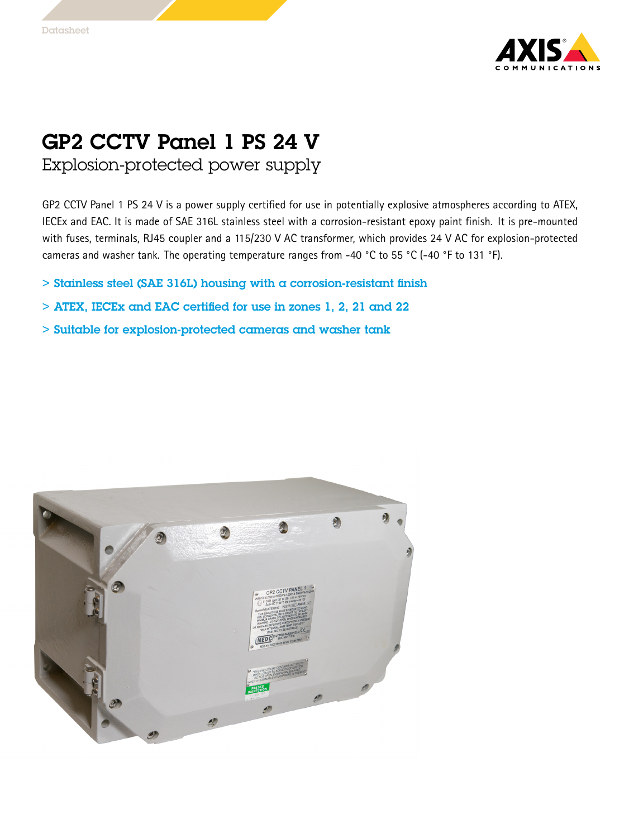

## GP2 CCTV Panel 1 PS 24 V

Explosion-protected power supply

GP2 CCTV Panel <sup>1</sup> PS 24 V is <sup>a</sup> power supply certified for use in potentially explosive atmospheres according to ATEX, IECEx and EAC. It is made of SAE 316L stainless steel with <sup>a</sup> corrosion-resistant epoxy paint finish. It is pre-mounted with fuses, terminals, RJ45 coupler and <sup>a</sup> 115/230 V AC transformer, which provides <sup>24</sup> V AC for explosion-protected cameras and washer tank. The operating temperature ranges from -40 °C to <sup>55</sup> °C (-40 °F to <sup>131</sup> °F).

- $>$  Stainless steel (SAE 316L) housing with a corrosion-resistant finish
- > ATEX, IECEx and EAC certified for use in zones 1, 2, 21 and 22
- > Suitable for explosion-protected cameras and washer tank